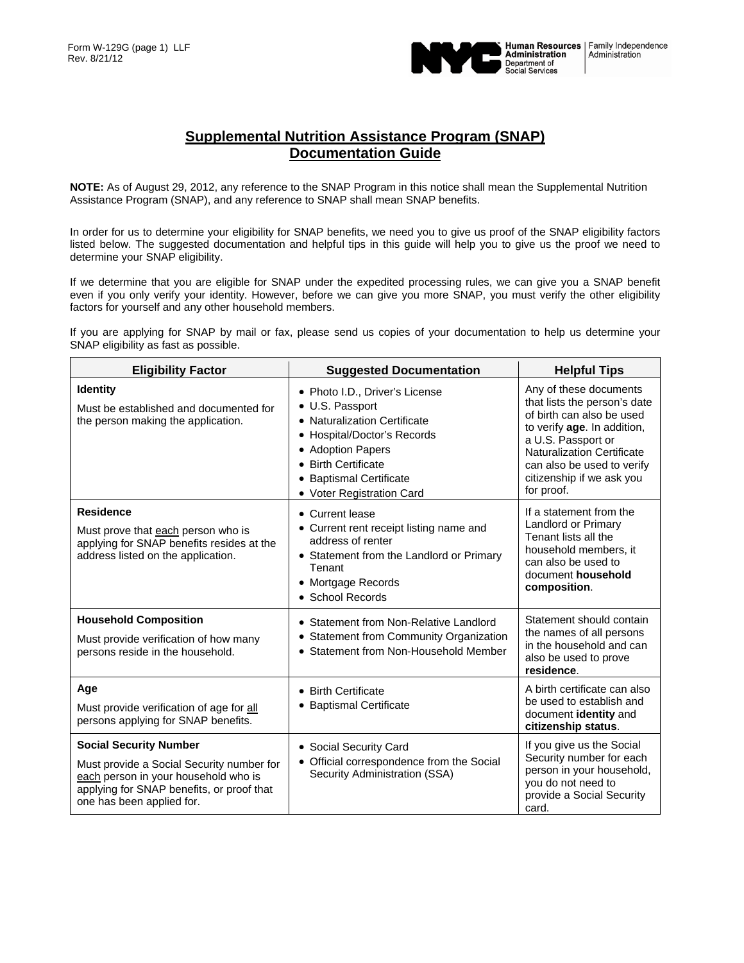

## **Supplemental Nutrition Assistance Program (SNAP) Documentation Guide**

**NOTE:** As of August 29, 2012, any reference to the SNAP Program in this notice shall mean the Supplemental Nutrition Assistance Program (SNAP), and any reference to SNAP shall mean SNAP benefits.

In order for us to determine your eligibility for SNAP benefits, we need you to give us proof of the SNAP eligibility factors listed below. The suggested documentation and helpful tips in this guide will help you to give us the proof we need to determine your SNAP eligibility.

If we determine that you are eligible for SNAP under the expedited processing rules, we can give you a SNAP benefit even if you only verify your identity. However, before we can give you more SNAP, you must verify the other eligibility factors for yourself and any other household members.

If you are applying for SNAP by mail or fax, please send us copies of your documentation to help us determine your SNAP eligibility as fast as possible.

| <b>Eligibility Factor</b>                                                                                                                                                                    | <b>Suggested Documentation</b>                                                                                                                                                                                       | <b>Helpful Tips</b>                                                                                                                                                                                                                                    |
|----------------------------------------------------------------------------------------------------------------------------------------------------------------------------------------------|----------------------------------------------------------------------------------------------------------------------------------------------------------------------------------------------------------------------|--------------------------------------------------------------------------------------------------------------------------------------------------------------------------------------------------------------------------------------------------------|
| <b>Identity</b><br>Must be established and documented for<br>the person making the application.                                                                                              | • Photo I.D., Driver's License<br>• U.S. Passport<br>• Naturalization Certificate<br>• Hospital/Doctor's Records<br>• Adoption Papers<br>• Birth Certificate<br>• Baptismal Certificate<br>• Voter Registration Card | Any of these documents<br>that lists the person's date<br>of birth can also be used<br>to verify age. In addition,<br>a U.S. Passport or<br><b>Naturalization Certificate</b><br>can also be used to verify<br>citizenship if we ask you<br>for proof. |
| <b>Residence</b><br>Must prove that each person who is<br>applying for SNAP benefits resides at the<br>address listed on the application.                                                    | • Current lease<br>• Current rent receipt listing name and<br>address of renter<br>• Statement from the Landlord or Primary<br>Tenant<br>• Mortgage Records<br>• School Records                                      | If a statement from the<br>Landlord or Primary<br>Tenant lists all the<br>household members, it<br>can also be used to<br>document household<br>composition.                                                                                           |
| <b>Household Composition</b><br>Must provide verification of how many<br>persons reside in the household.                                                                                    | • Statement from Non-Relative Landlord<br>• Statement from Community Organization<br>• Statement from Non-Household Member                                                                                           | Statement should contain<br>the names of all persons<br>in the household and can<br>also be used to prove<br>residence.                                                                                                                                |
| Age<br>Must provide verification of age for all<br>persons applying for SNAP benefits.                                                                                                       | • Birth Certificate<br>• Baptismal Certificate                                                                                                                                                                       | A birth certificate can also<br>be used to establish and<br>document identity and<br>citizenship status.                                                                                                                                               |
| <b>Social Security Number</b><br>Must provide a Social Security number for<br>each person in your household who is<br>applying for SNAP benefits, or proof that<br>one has been applied for. | • Social Security Card<br>• Official correspondence from the Social<br>Security Administration (SSA)                                                                                                                 | If you give us the Social<br>Security number for each<br>person in your household,<br>you do not need to<br>provide a Social Security<br>card.                                                                                                         |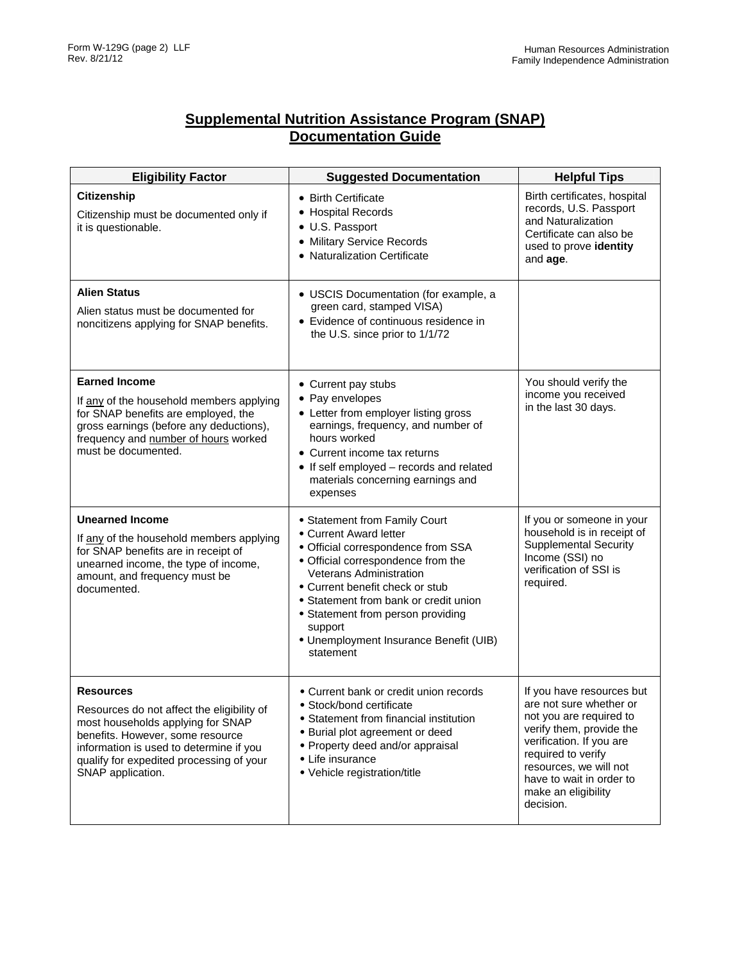## **Supplemental Nutrition Assistance Program (SNAP) Documentation Guide**

| <b>Eligibility Factor</b>                                                                                                                                                                                                                           | <b>Suggested Documentation</b>                                                                                                                                                                                                                                                                                                                           | <b>Helpful Tips</b>                                                                                                                                                                                                                                     |
|-----------------------------------------------------------------------------------------------------------------------------------------------------------------------------------------------------------------------------------------------------|----------------------------------------------------------------------------------------------------------------------------------------------------------------------------------------------------------------------------------------------------------------------------------------------------------------------------------------------------------|---------------------------------------------------------------------------------------------------------------------------------------------------------------------------------------------------------------------------------------------------------|
| <b>Citizenship</b><br>Citizenship must be documented only if<br>it is questionable.                                                                                                                                                                 | • Birth Certificate<br>• Hospital Records<br>• U.S. Passport<br>• Military Service Records<br>• Naturalization Certificate                                                                                                                                                                                                                               | Birth certificates, hospital<br>records, U.S. Passport<br>and Naturalization<br>Certificate can also be<br>used to prove identity<br>and age.                                                                                                           |
| <b>Alien Status</b><br>Alien status must be documented for<br>noncitizens applying for SNAP benefits.                                                                                                                                               | • USCIS Documentation (for example, a<br>green card, stamped VISA)<br>• Evidence of continuous residence in<br>the U.S. since prior to 1/1/72                                                                                                                                                                                                            |                                                                                                                                                                                                                                                         |
| <b>Earned Income</b><br>If any of the household members applying<br>for SNAP benefits are employed, the<br>gross earnings (before any deductions),<br>frequency and number of hours worked<br>must be documented.                                   | • Current pay stubs<br>• Pay envelopes<br>• Letter from employer listing gross<br>earnings, frequency, and number of<br>hours worked<br>• Current income tax returns<br>• If self employed - records and related<br>materials concerning earnings and<br>expenses                                                                                        | You should verify the<br>income you received<br>in the last 30 days.                                                                                                                                                                                    |
| <b>Unearned Income</b><br>If any of the household members applying<br>for SNAP benefits are in receipt of<br>unearned income, the type of income,<br>amount, and frequency must be<br>documented.                                                   | • Statement from Family Court<br>• Current Award letter<br>· Official correspondence from SSA<br>• Official correspondence from the<br><b>Veterans Administration</b><br>• Current benefit check or stub<br>• Statement from bank or credit union<br>• Statement from person providing<br>support<br>• Unemployment Insurance Benefit (UIB)<br>statement | If you or someone in your<br>household is in receipt of<br><b>Supplemental Security</b><br>Income (SSI) no<br>verification of SSI is<br>required.                                                                                                       |
| <b>Resources</b><br>Resources do not affect the eligibility of<br>most households applying for SNAP<br>benefits. However, some resource<br>information is used to determine if you<br>qualify for expedited processing of your<br>SNAP application. | • Current bank or credit union records<br>• Stock/bond certificate<br>• Statement from financial institution<br>• Burial plot agreement or deed<br>• Property deed and/or appraisal<br>• Life insurance<br>• Vehicle registration/title                                                                                                                  | If you have resources but<br>are not sure whether or<br>not you are required to<br>verify them, provide the<br>verification. If you are<br>required to verify<br>resources, we will not<br>have to wait in order to<br>make an eligibility<br>decision. |